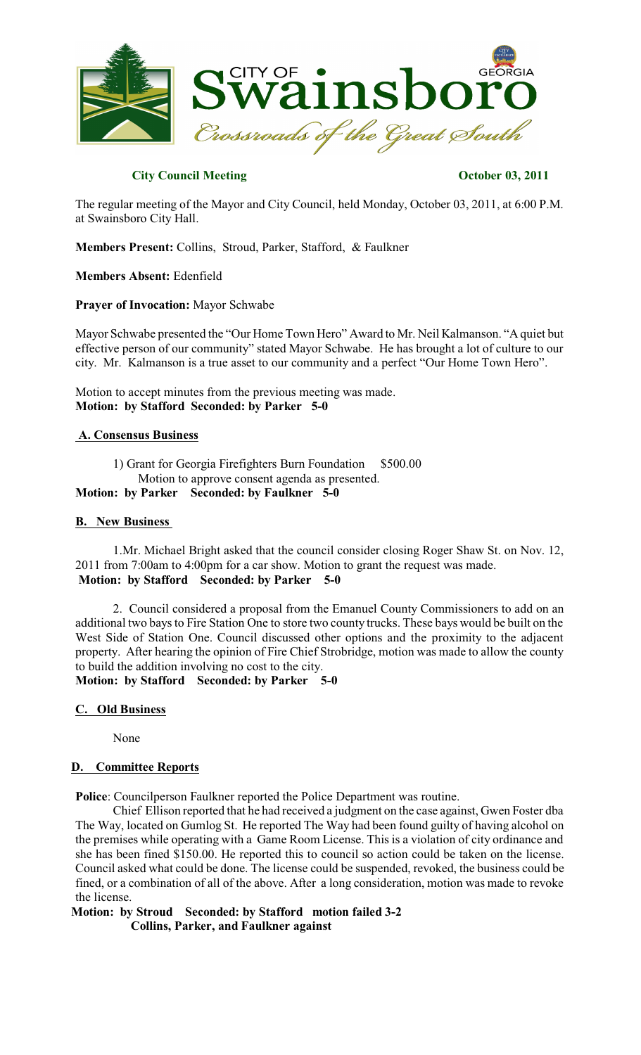

# **City Council Meeting Contract Contract Contract Contract Contract Contract Contract Contract Contract Contract Contract Contract Contract Contract Contract Contract Contract Contract Contract Contract Contract Contract Co**

The regular meeting of the Mayor and City Council, held Monday, October 03, 2011, at 6:00 P.M. at Swainsboro City Hall.

**Members Present:** Collins, Stroud, Parker, Stafford, & Faulkner

**Members Absent:** Edenfield

**Prayer of Invocation:** Mayor Schwabe

Mayor Schwabe presented the "Our Home Town Hero" Award to Mr. Neil Kalmanson. "A quiet but effective person of our community" stated Mayor Schwabe. He has brought a lot of culture to our city. Mr. Kalmanson is a true asset to our community and a perfect "Our Home Town Hero".

Motion to accept minutes from the previous meeting was made. **Motion: by Stafford Seconded: by Parker 5-0**

#### **A. Consensus Business**

1) Grant for Georgia Firefighters Burn Foundation \$500.00 Motion to approve consent agenda as presented.

**Motion: by Parker Seconded: by Faulkner 5-0**

### **B. New Business**

1.Mr. Michael Bright asked that the council consider closing Roger Shaw St. on Nov. 12, 2011 from 7:00am to 4:00pm for a car show. Motion to grant the request was made. **Motion: by Stafford Seconded: by Parker 5-0**

2. Council considered a proposal from the Emanuel County Commissioners to add on an additional two baysto Fire Station One to store two county trucks. These bays would be built on the West Side of Station One. Council discussed other options and the proximity to the adjacent property. After hearing the opinion of Fire Chief Strobridge, motion was made to allow the county to build the addition involving no cost to the city.

**Motion: by Stafford Seconded: by Parker 5-0**

# **C. Old Business**

None

# **D. Committee Reports**

**Police**: Councilperson Faulkner reported the Police Department was routine.

Chief Ellison reported that he had received a judgment on the case against, Gwen Foster dba The Way, located on Gumlog St. He reported The Way had been found guilty of having alcohol on the premises while operating with a Game Room License. This is a violation of city ordinance and she has been fined \$150.00. He reported this to council so action could be taken on the license. Council asked what could be done. The license could be suspended, revoked, the business could be fined, or a combination of all of the above. After a long consideration, motion was made to revoke the license.

**Motion: by Stroud Seconded: by Stafford motion failed 3-2 Collins, Parker, and Faulkner against**